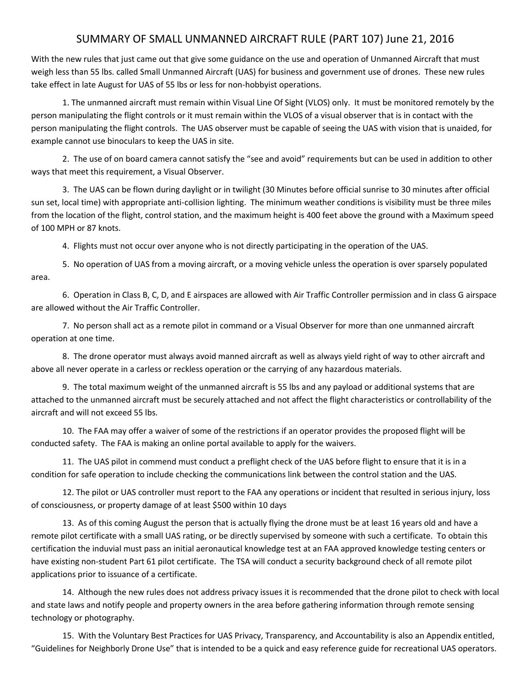## SUMMARY OF SMALL UNMANNED AIRCRAFT RULE (PART 107) June 21, 2016

With the new rules that just came out that give some guidance on the use and operation of Unmanned Aircraft that must weigh less than 55 lbs. called Small Unmanned Aircraft (UAS) for business and government use of drones. These new rules take effect in late August for UAS of 55 lbs or less for non-hobbyist operations.

1. The unmanned aircraft must remain within Visual Line Of Sight (VLOS) only. It must be monitored remotely by the person manipulating the flight controls or it must remain within the VLOS of a visual observer that is in contact with the person manipulating the flight controls. The UAS observer must be capable of seeing the UAS with vision that is unaided, for example cannot use binoculars to keep the UAS in site.

2. The use of on board camera cannot satisfy the "see and avoid" requirements but can be used in addition to other ways that meet this requirement, a Visual Observer.

3. The UAS can be flown during daylight or in twilight (30 Minutes before official sunrise to 30 minutes after official sun set, local time) with appropriate anti-collision lighting. The minimum weather conditions is visibility must be three miles from the location of the flight, control station, and the maximum height is 400 feet above the ground with a Maximum speed of 100 MPH or 87 knots.

4. Flights must not occur over anyone who is not directly participating in the operation of the UAS.

5. No operation of UAS from a moving aircraft, or a moving vehicle unless the operation is over sparsely populated area.

6. Operation in Class B, C, D, and E airspaces are allowed with Air Traffic Controller permission and in class G airspace are allowed without the Air Traffic Controller.

7. No person shall act as a remote pilot in command or a Visual Observer for more than one unmanned aircraft operation at one time.

8. The drone operator must always avoid manned aircraft as well as always yield right of way to other aircraft and above all never operate in a carless or reckless operation or the carrying of any hazardous materials.

9. The total maximum weight of the unmanned aircraft is 55 lbs and any payload or additional systems that are attached to the unmanned aircraft must be securely attached and not affect the flight characteristics or controllability of the aircraft and will not exceed 55 lbs.

10. The FAA may offer a waiver of some of the restrictions if an operator provides the proposed flight will be conducted safety. The FAA is making an online portal available to apply for the waivers.

11. The UAS pilot in commend must conduct a preflight check of the UAS before flight to ensure that it is in a condition for safe operation to include checking the communications link between the control station and the UAS.

12. The pilot or UAS controller must report to the FAA any operations or incident that resulted in serious injury, loss of consciousness, or property damage of at least \$500 within 10 days

13. As of this coming August the person that is actually flying the drone must be at least 16 years old and have a remote pilot certificate with a small UAS rating, or be directly supervised by someone with such a certificate. To obtain this certification the induvial must pass an initial aeronautical knowledge test at an FAA approved knowledge testing centers or have existing non-student Part 61 pilot certificate. The TSA will conduct a security background check of all remote pilot applications prior to issuance of a certificate.

14. Although the new rules does not address privacy issues it is recommended that the drone pilot to check with local and state laws and notify people and property owners in the area before gathering information through remote sensing technology or photography.

15. With the Voluntary Best Practices for UAS Privacy, Transparency, and Accountability is also an Appendix entitled, "Guidelines for Neighborly Drone Use" that is intended to be a quick and easy reference guide for recreational UAS operators.